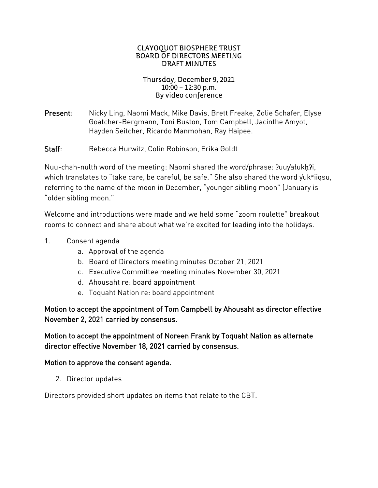#### CLAYOQUOT BIOSPHERE TRUST BOARD OF DIRECTORS MEETING DRAFT MINUTES

#### Thursday, December 9, 2021 10:00 – 12:30 p.m. By video conference

Present: Nicky Ling, Naomi Mack, Mike Davis, Brett Freake, Zolie Schafer, Elyse Goatcher-Bergmann, Toni Buston, Tom Campbell, Jacinthe Amyot, Hayden Seitcher, Ricardo Manmohan, Ray Haipee.

Staff: Rebecca Hurwitz, Colin Robinson, Erika Goldt

Nuu-chah-nulth word of the meeting: Naomi shared the word/phrase: ?uuyałukh?i, which translates to "take care, be careful, be safe." She also shared the word y'uk<sup>w</sup>iigsu, referring to the name of the moon in December, "younger sibling moon" (January is "older sibling moon."

Welcome and introductions were made and we held some "zoom roulette" breakout rooms to connect and share about what we're excited for leading into the holidays.

- 1. Consent agenda
	- a. Approval of the agenda
	- b. Board of Directors meeting minutes October 21, 2021
	- c. Executive Committee meeting minutes November 30, 2021
	- d. Ahousaht re: board appointment
	- e. Toquaht Nation re: board appointment

Motion to accept the appointment of Tom Campbell by Ahousaht as director effective November 2, 2021 carried by consensus.

Motion to accept the appointment of Noreen Frank by Toquaht Nation as alternate director effective November 18, 2021 carried by consensus.

#### Motion to approve the consent agenda.

2. Director updates

Directors provided short updates on items that relate to the CBT.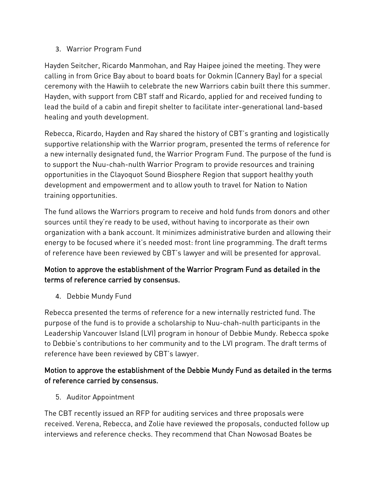### 3. Warrior Program Fund

Hayden Seitcher, Ricardo Manmohan, and Ray Haipee joined the meeting. They were calling in from Grice Bay about to board boats for Ookmin (Cannery Bay) for a special ceremony with the Hawiih to celebrate the new Warriors cabin built there this summer. Hayden, with support from CBT staff and Ricardo, applied for and received funding to lead the build of a cabin and firepit shelter to facilitate inter-generational land-based healing and youth development.

Rebecca, Ricardo, Hayden and Ray shared the history of CBT's granting and logistically supportive relationship with the Warrior program, presented the terms of reference for a new internally designated fund, the Warrior Program Fund. The purpose of the fund is to support the Nuu-chah-nulth Warrior Program to provide resources and training opportunities in the Clayoquot Sound Biosphere Region that support healthy youth development and empowerment and to allow youth to travel for Nation to Nation training opportunities.

The fund allows the Warriors program to receive and hold funds from donors and other sources until they're ready to be used, without having to incorporate as their own organization with a bank account. It minimizes administrative burden and allowing their energy to be focused where it's needed most: front line programming. The draft terms of reference have been reviewed by CBT's lawyer and will be presented for approval.

# Motion to approve the establishment of the Warrior Program Fund as detailed in the terms of reference carried by consensus.

4. Debbie Mundy Fund

Rebecca presented the terms of reference for a new internally restricted fund. The purpose of the fund is to provide a scholarship to Nuu-chah-nulth participants in the Leadership Vancouver Island (LVI) program in honour of Debbie Mundy. Rebecca spoke to Debbie's contributions to her community and to the LVI program. The draft terms of reference have been reviewed by CBT's lawyer.

## Motion to approve the establishment of the Debbie Mundy Fund as detailed in the terms of reference carried by consensus.

5. Auditor Appointment

The CBT recently issued an RFP for auditing services and three proposals were received. Verena, Rebecca, and Zolie have reviewed the proposals, conducted follow up interviews and reference checks. They recommend that Chan Nowosad Boates be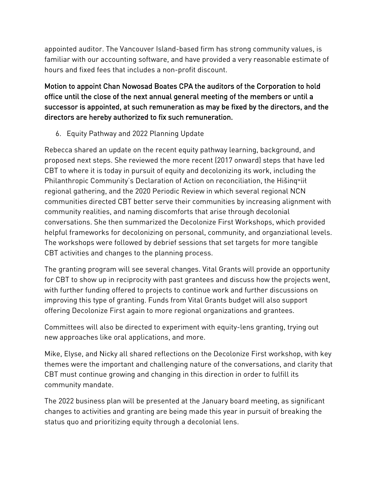appointed auditor. The Vancouver Island-based firm has strong community values, is familiar with our accounting software, and have provided a very reasonable estimate of hours and fixed fees that includes a non-profit discount.

Motion to appoint Chan Nowosad Boates CPA the auditors of the Corporation to hold office until the close of the next annual general meeting of the members or until a successor is appointed, at such remuneration as may be fixed by the directors, and the directors are hereby authorized to fix such remuneration.

6. Equity Pathway and 2022 Planning Update

Rebecca shared an update on the recent equity pathway learning, background, and proposed next steps. She reviewed the more recent (2017 onward) steps that have led CBT to where it is today in pursuit of equity and decolonizing its work, including the Philanthropic Community's Declaration of Action on reconciliation, the Hišingwiił regional gathering, and the 2020 Periodic Review in which several regional NCN communities directed CBT better serve their communities by increasing alignment with community realities, and naming discomforts that arise through decolonial conversations. She then summarized the Decolonize First Workshops, which provided helpful frameworks for decolonizing on personal, community, and organziational levels. The workshops were followed by debrief sessions that set targets for more tangible CBT activities and changes to the planning process.

The granting program will see several changes. Vital Grants will provide an opportunity for CBT to show up in reciprocity with past grantees and discuss how the projects went, with further funding offered to projects to continue work and further discussions on improving this type of granting. Funds from Vital Grants budget will also support offering Decolonize First again to more regional organizations and grantees.

Committees will also be directed to experiment with equity-lens granting, trying out new approaches like oral applications, and more.

Mike, Elyse, and Nicky all shared reflections on the Decolonize First workshop, with key themes were the important and challenging nature of the conversations, and clarity that CBT must continue growing and changing in this direction in order to fulfill its community mandate.

The 2022 business plan will be presented at the January board meeting, as significant changes to activities and granting are being made this year in pursuit of breaking the status quo and prioritizing equity through a decolonial lens.